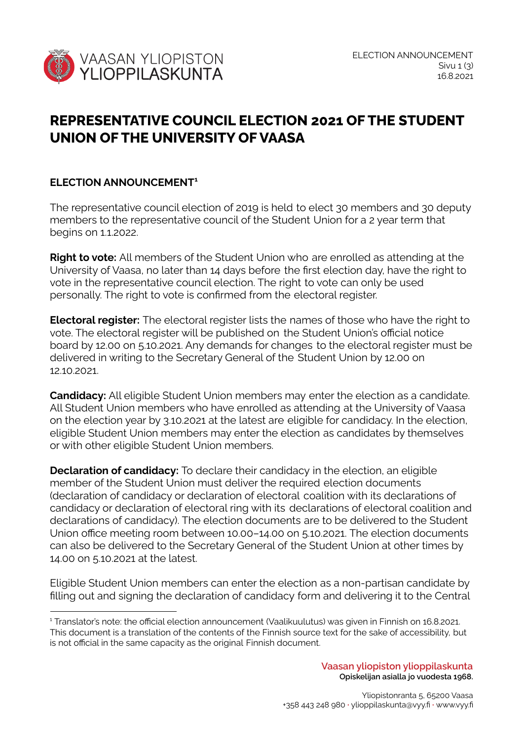

## **REPRESENTATIVE COUNCIL ELECTION 2021 OF THE STUDENT UNION OF THE UNIVERSITY OF VAASA**

## **ELECTION ANNOUNCEMENT 1**

The representative council election of 2019 is held to elect 30 members and 30 deputy members to the representative council of the Student Union for a 2 year term that begins on 1.1.2022.

**Right to vote:** All members of the Student Union who are enrolled as attending at the University of Vaasa, no later than 14 days before the first election day, have the right to vote in the representative council election. The right to vote can only be used personally. The right to vote is confirmed from the electoral register.

**Electoral register:** The electoral register lists the names of those who have the right to vote. The electoral register will be published on the Student Union's official notice board by 12.00 on 5.10.2021. Any demands for changes to the electoral register must be delivered in writing to the Secretary General of the Student Union by 12.00 on 12.10.2021.

**Candidacy:** All eligible Student Union members may enter the election as a candidate. All Student Union members who have enrolled as attending at the University of Vaasa on the election year by 3.10.2021 at the latest are eligible for candidacy. In the election, eligible Student Union members may enter the election as candidates by themselves or with other eligible Student Union members.

**Declaration of candidacy:** To declare their candidacy in the election, an eligible member of the Student Union must deliver the required election documents (declaration of candidacy or declaration of electoral coalition with its declarations of candidacy or declaration of electoral ring with its declarations of electoral coalition and declarations of candidacy). The election documents are to be delivered to the Student Union office meeting room between 10.00–14.00 on 5.10.2021. The election documents can also be delivered to the Secretary General of the Student Union at other times by 14.00 on 5.10.2021 at the latest.

Eligible Student Union members can enter the election as a non-partisan candidate by filling out and signing the declaration of candidacy form and delivering it to the Central

<sup>1</sup> Translator's note: the official election announcement (Vaalikuulutus) was given in Finnish on 16.8.2021. This document is a translation of the contents of the Finnish source text for the sake of accessibility, but is not official in the same capacity as the original Finnish document.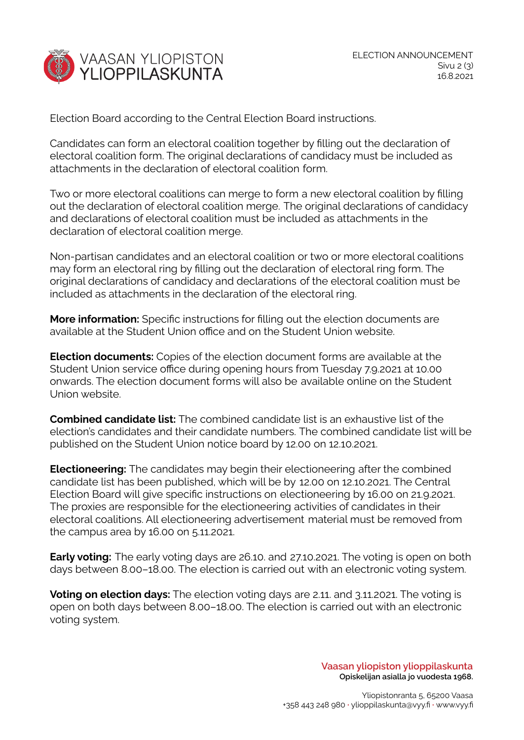

Election Board according to the Central Election Board instructions.

Candidates can form an electoral coalition together by filling out the declaration of electoral coalition form. The original declarations of candidacy must be included as attachments in the declaration of electoral coalition form.

Two or more electoral coalitions can merge to form a new electoral coalition by filling out the declaration of electoral coalition merge. The original declarations of candidacy and declarations of electoral coalition must be included as attachments in the declaration of electoral coalition merge.

Non-partisan candidates and an electoral coalition or two or more electoral coalitions may form an electoral ring by filling out the declaration of electoral ring form. The original declarations of candidacy and declarations of the electoral coalition must be included as attachments in the declaration of the electoral ring.

**More information:** Specific instructions for filling out the election documents are available at the Student Union office and on the Student Union website.

**Election documents:** Copies of the election document forms are available at the Student Union service office during opening hours from Tuesday 7.9.2021 at 10.00 onwards. The election document forms will also be available online on the Student Union website.

**Combined candidate list:** The combined candidate list is an exhaustive list of the election's candidates and their candidate numbers. The combined candidate list will be published on the Student Union notice board by 12.00 on 12.10.2021.

**Electioneering:** The candidates may begin their electioneering after the combined candidate list has been published, which will be by 12.00 on 12.10.2021. The Central Election Board will give specific instructions on electioneering by 16.00 on 21.9.2021. The proxies are responsible for the electioneering activities of candidates in their electoral coalitions. All electioneering advertisement material must be removed from the campus area by 16.00 on 5.11.2021.

**Early voting:** The early voting days are 26.10. and 27.10.2021. The voting is open on both days between 8.00–18.00. The election is carried out with an electronic voting system.

**Voting on election days:** The election voting days are 2.11. and 3.11.2021. The voting is open on both days between 8.00–18.00. The election is carried out with an electronic voting system.

> **Vaasan yliopiston ylioppilaskunta Opiskelijan asialla jo vuodesta 1968.**